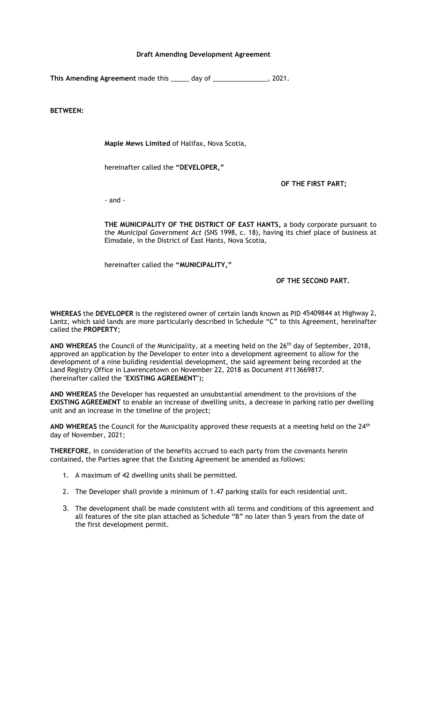## **Draft Amending Development Agreement**

**This Amending Agreement** made this \_\_\_\_\_ day of \_\_\_\_\_\_\_\_\_\_\_\_\_\_\_, 2021.

**BETWEEN:**

**Maple Mews Limited** of Halifax, Nova Scotia,

hereinafter called the **"DEVELOPER,"**

**OF THE FIRST PART;**

- and -

**THE MUNICIPALITY OF THE DISTRICT OF EAST HANTS,** a body corporate pursuant to the *Municipal Government Act* (SNS 1998, c. 18), having its chief place of business at Elmsdale, in the District of East Hants, Nova Scotia,

hereinafter called the **"MUNICIPALITY,"**

## **OF THE SECOND PART.**

**WHEREAS** the **DEVELOPER** is the registered owner of certain lands known as PID 45409844 at Highway 2, Lantz, which said lands are more particularly described in Schedule "C" to this Agreement, hereinafter called the **PROPERTY**;

AND WHEREAS the Council of the Municipality, at a meeting held on the 26<sup>th</sup> day of September, 2018, approved an application by the Developer to enter into a development agreement to allow for the development of a nine building residential development, the said agreement being recorded at the Land Registry Office in Lawrencetown on November 22, 2018 as Document #113669817. (hereinafter called the "**EXISTING AGREEMENT**");

**AND WHEREAS** the Developer has requested an unsubstantial amendment to the provisions of the **EXISTING AGREEMENT** to enable an increase of dwelling units, a decrease in parking ratio per dwelling unit and an increase in the timeline of the project;

AND WHEREAS the Council for the Municipality approved these requests at a meeting held on the 24<sup>th</sup> day of November, 2021;

**THEREFORE**, in consideration of the benefits accrued to each party from the covenants herein contained, the Parties agree that the Existing Agreement be amended as follows:

- 1. A maximum of 42 dwelling units shall be permitted.
- 2. The Developer shall provide a minimum of 1.47 parking stalls for each residential unit.
- 3. The development shall be made consistent with all terms and conditions of this agreement and all features of the site plan attached as Schedule "B" no later than 5 years from the date of the first development permit.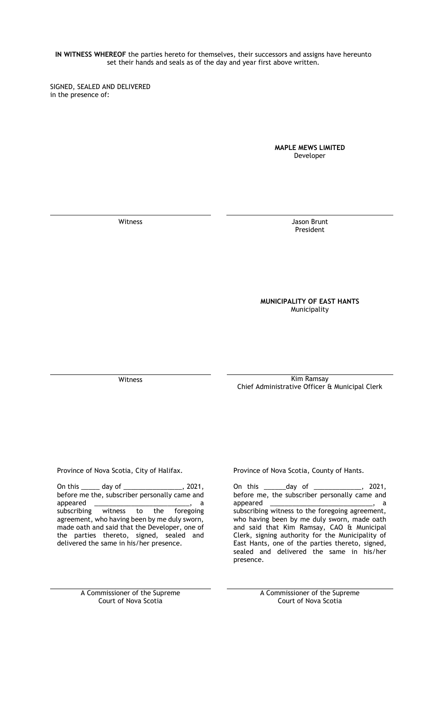**IN WITNESS WHEREOF** the parties hereto for themselves, their successors and assigns have hereunto set their hands and seals as of the day and year first above written.

SIGNED, SEALED AND DELIVERED in the presence of:

> **MAPLE MEWS LIMITED** Developer

Witness Jason Brunt President

## **MUNICIPALITY OF EAST HANTS** Municipality

Witness **Kim Ramsay** Chief Administrative Officer & Municipal Clerk

On this \_\_\_\_\_ day of \_\_\_\_\_\_\_\_\_\_\_\_\_\_\_\_, 2021, before me the, subscriber personally came and appeared \_\_\_\_\_\_\_\_\_\_\_\_\_\_\_\_\_\_\_\_\_\_\_\_\_\_\_\_\_\_, a<br>subscribing witness to the foregoing subscribing witness to the agreement, who having been by me duly sworn, made oath and said that the Developer, one of the parties thereto, signed, sealed and delivered the same in his/her presence.

Province of Nova Scotia, City of Halifax. Province of Nova Scotia, County of Hants.

On this \_\_\_\_\_\_day of \_\_\_\_\_\_\_\_\_\_\_\_\_, 2021, before me, the subscriber personally came and appeared \_\_\_\_\_\_\_\_\_\_\_\_\_\_\_\_\_\_\_\_\_\_\_\_\_\_\_\_, a subscribing witness to the foregoing agreement, who having been by me duly sworn, made oath and said that Kim Ramsay, CAO & Municipal Clerk, signing authority for the Municipality of East Hants, one of the parties thereto, signed, sealed and delivered the same in his/her presence.

A Commissioner of the Supreme Court of Nova Scotia

A Commissioner of the Supreme Court of Nova Scotia